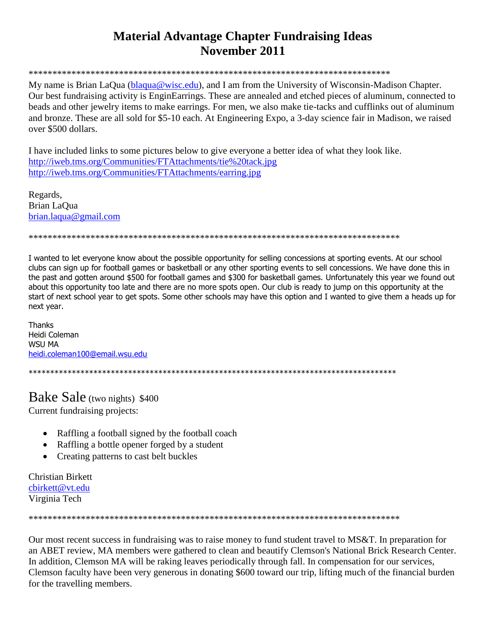## **Material Advantage Chapter Fundraising Ideas** November 2011

My name is Brian LaOua (blaqua@wisc.edu), and I am from the University of Wisconsin-Madison Chapter. Our best fundraising activity is EnginEarrings. These are annealed and etched pieces of aluminum, connected to beads and other jewelry items to make earrings. For men, we also make tie-tacks and cufflinks out of aluminum and bronze. These are all sold for \$5-10 each. At Engineering Expo, a 3-day science fair in Madison, we raised over \$500 dollars.

I have included links to some pictures below to give everyone a better idea of what they look like. http://iweb.tms.org/Communities/FTAttachments/tie%20tack.jpg http://iweb.tms.org/Communities/FTAttachments/earring.jpg

Regards. Brian LaQua  $brain.laqua@gmail.com$ 

I wanted to let everyone know about the possible opportunity for selling concessions at sporting events. At our school clubs can sign up for football games or basketball or any other sporting events to sell concessions. We have done this in the past and gotten around \$500 for football games and \$300 for basketball games. Unfortunately this year we found out about this opportunity too late and there are no more spots open. Our club is ready to jump on this opportunity at the start of next school year to get spots. Some other schools may have this option and I wanted to give them a heads up for next year.

**Thanks** Heidi Coleman **WSU MA** heidi.coleman100@email.wsu.edu

## **Bake Sale** (two nights) \$400

Current fundraising projects:

- Raffling a football signed by the football coach
- Raffling a bottle opener forged by a student
- Creating patterns to cast belt buckles

**Christian Birkett** cbirkett@vt.edu Virginia Tech

Our most recent success in fundraising was to raise money to fund student travel to MS&T. In preparation for an ABET review, MA members were gathered to clean and beautify Clemson's National Brick Research Center. In addition, Clemson MA will be raking leaves periodically through fall. In compensation for our services, Clemson faculty have been very generous in donating \$600 toward our trip, lifting much of the financial burden for the travelling members.